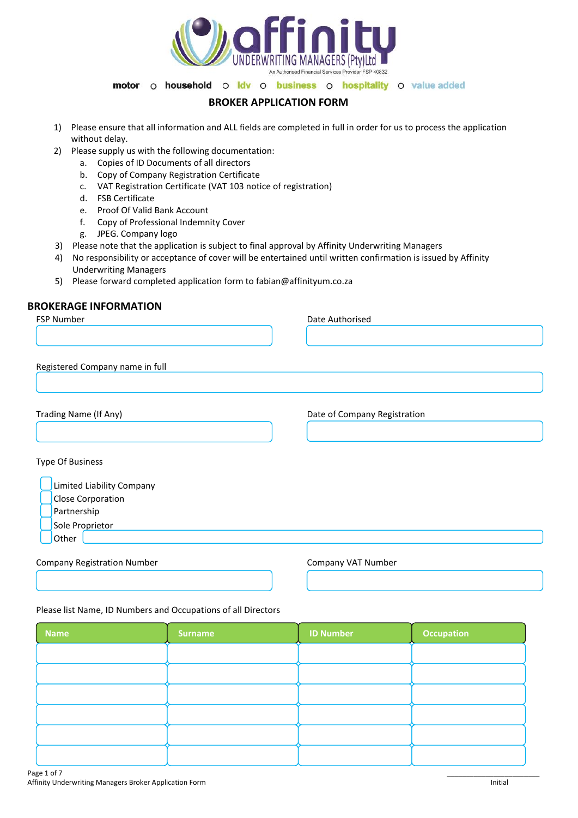

# **BROKER APPLICATION FORM**

- 1) Please ensure that all information and ALL fields are completed in full in order for us to process the application without delay.
- 2) Please supply us with the following documentation:
	- a. Copies of ID Documents of all directors
	- b. Copy of Company Registration Certificate
	- c. VAT Registration Certificate (VAT 103 notice of registration)
	- d. FSB Certificate
	- e. Proof Of Valid Bank Account
	- f. Copy of Professional Indemnity Cover
	- g. JPEG. Company logo
- 3) Please note that the application is subject to final approval by Affinity Underwriting Managers
- 4) No responsibility or acceptance of cover will be entertained until written confirmation is issued by Affinity Underwriting Managers
- 5) Please forward completed application form to fabian@affinityum.co.za

# **BROKERAGE INFORMATION**

| FSP Number                         | Date Authorised              |
|------------------------------------|------------------------------|
|                                    |                              |
|                                    |                              |
|                                    |                              |
| Registered Company name in full    |                              |
|                                    |                              |
|                                    |                              |
| Trading Name (If Any)              | Date of Company Registration |
|                                    |                              |
|                                    |                              |
|                                    |                              |
| <b>Type Of Business</b>            |                              |
| Limited Liability Company          |                              |
| Close Corporation                  |                              |
| Partnership                        |                              |
|                                    |                              |
| Sole Proprietor                    |                              |
| Other                              |                              |
| <b>Company Registration Number</b> | Company VAT Number           |
|                                    |                              |

#### Please list Name, ID Numbers and Occupations of all Directors

| <b>Name</b> | <b>Surname</b> | <b>ID Number</b> | <b>Occupation</b> |
|-------------|----------------|------------------|-------------------|
|             |                |                  |                   |
|             |                |                  |                   |
|             |                |                  |                   |
|             |                |                  |                   |
|             |                |                  |                   |
|             |                |                  |                   |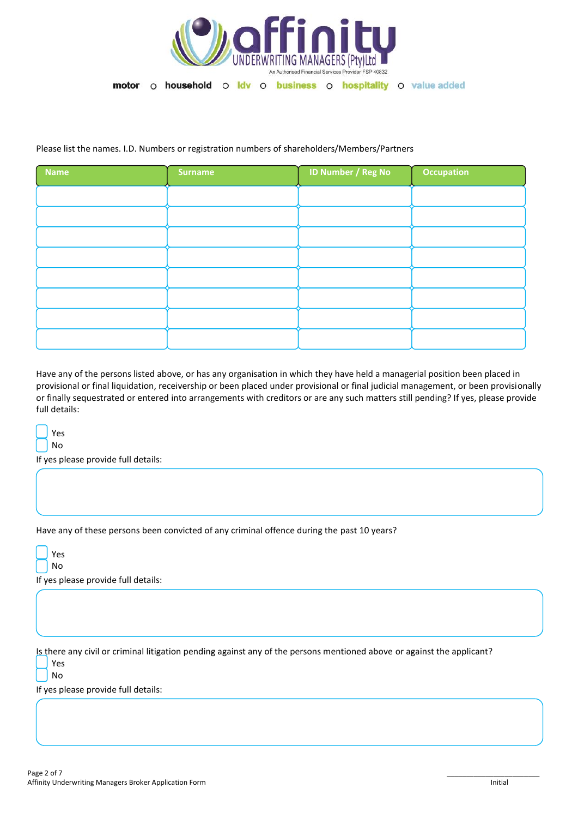

## Please list the names. I.D. Numbers or registration numbers of shareholders/Members/Partners

| <b>Name</b> | <b>Surname</b> | <b>ID Number / Reg No</b> | <b>Occupation</b> |
|-------------|----------------|---------------------------|-------------------|
|             |                |                           |                   |
|             |                |                           |                   |
|             |                |                           |                   |
|             |                |                           |                   |
|             |                |                           |                   |
|             |                |                           |                   |
|             |                |                           |                   |
|             |                |                           |                   |

Have any of the persons listed above, or has any organisation in which they have held a managerial position been placed in provisional or final liquidation, receivership or been placed under provisional or final judicial management, or been provisionally or finally sequestrated or entered into arrangements with creditors or are any such matters still pending? If yes, please provide full details:

 Yes No

If yes please provide full details:

Have any of these persons been convicted of any criminal offence during the past 10 years?

| Ξ<br>ب |
|--------|
| n      |

If yes please provide full details:

Is there any civil or criminal litigation pending against any of the persons mentioned above or against the applicant? Yes

No

If yes please provide full details: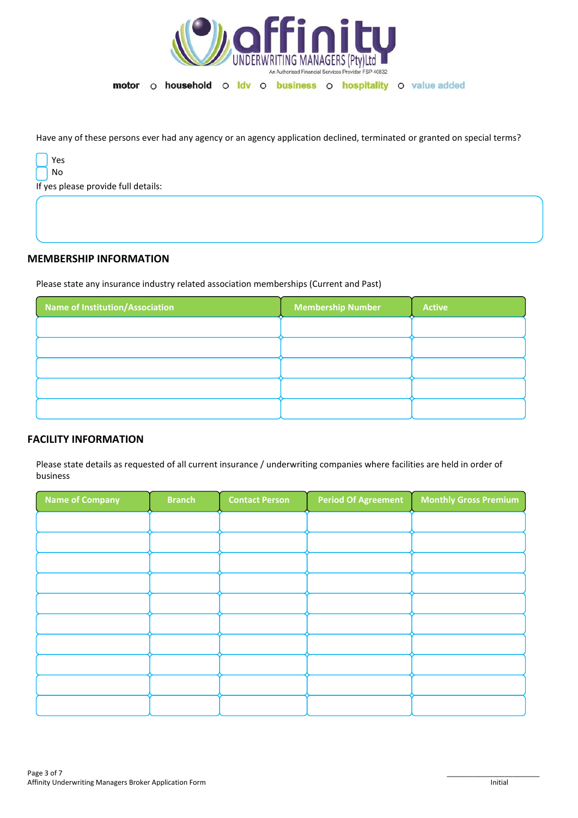

Have any of these persons ever had any agency or an agency application declined, terminated or granted on special terms?

| v<br><<br>ب |
|-------------|
| n<br>۰      |

If yes please provide full details:

## **MEMBERSHIP INFORMATION**

Please state any insurance industry related association memberships (Current and Past)

| <b>Name of Institution/Association</b> | <b>Membership Number</b> | <b>Active</b> |
|----------------------------------------|--------------------------|---------------|
|                                        |                          |               |
|                                        |                          |               |
|                                        |                          |               |
|                                        |                          |               |
|                                        |                          |               |

# **FACILITY INFORMATION**

Please state details as requested of all current insurance / underwriting companies where facilities are held in order of business

| Name of Company | <b>Branch</b> | <b>Contact Person</b> | <b>Period Of Agreement</b> | <b>Monthly Gross Premium</b> |
|-----------------|---------------|-----------------------|----------------------------|------------------------------|
|                 |               |                       |                            |                              |
|                 |               |                       |                            |                              |
|                 |               |                       |                            |                              |
|                 |               |                       |                            |                              |
|                 |               |                       |                            |                              |
|                 |               |                       |                            |                              |
|                 |               |                       |                            |                              |
|                 |               |                       |                            |                              |
|                 |               |                       |                            |                              |
|                 |               |                       |                            |                              |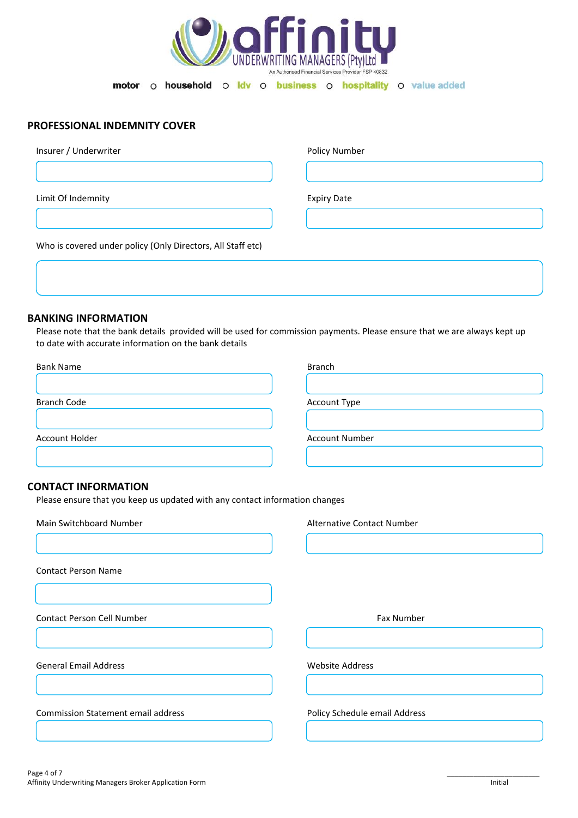

# **PROFESSIONAL INDEMNITY COVER**

| Insurer / Underwriter                                       | Policy Number      |
|-------------------------------------------------------------|--------------------|
|                                                             |                    |
| Limit Of Indemnity                                          | <b>Expiry Date</b> |
|                                                             |                    |
| Who is covered under policy (Only Directors, All Staff etc) |                    |

#### **BANKING INFORMATION**

Please note that the bank details provided will be used for commission payments. Please ensure that we are always kept up to date with accurate information on the bank details

| <b>Bank Name</b>   | <b>Branch</b>         |
|--------------------|-----------------------|
|                    |                       |
|                    |                       |
| <b>Branch Code</b> | <b>Account Type</b>   |
|                    |                       |
|                    |                       |
| Account Holder     | <b>Account Number</b> |
|                    |                       |

## **CONTACT INFORMATION**

Please ensure that you keep us updated with any contact information changes

| Main Switchboard Number                   | Alternative Contact Number    |
|-------------------------------------------|-------------------------------|
|                                           |                               |
| <b>Contact Person Name</b>                |                               |
|                                           |                               |
| Contact Person Cell Number                | Fax Number                    |
|                                           |                               |
| <b>General Email Address</b>              | <b>Website Address</b>        |
|                                           |                               |
| <b>Commission Statement email address</b> | Policy Schedule email Address |
|                                           |                               |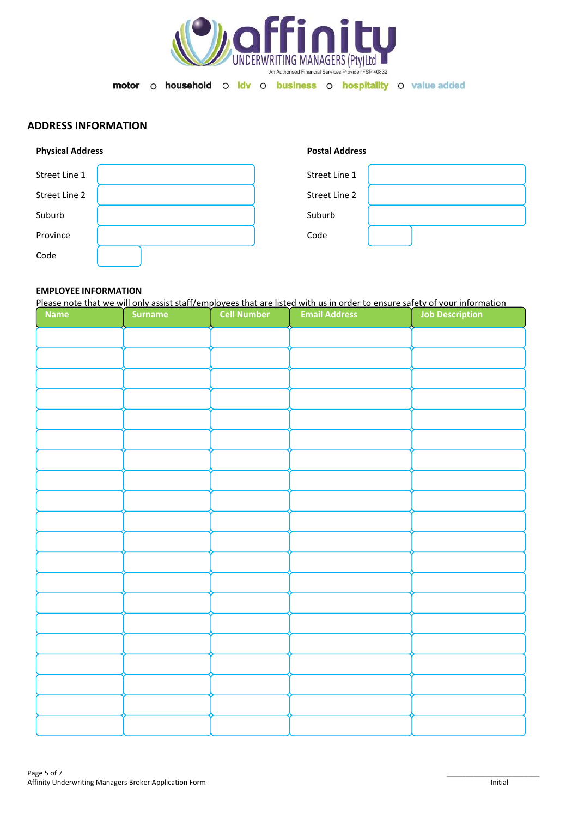

## **ADDRESS INFORMATION**

| <b>Physical Address</b> | <b>Postal Address</b> |  |
|-------------------------|-----------------------|--|
| Street Line 1           | Street Line 1         |  |
| Street Line 2           | Street Line 2         |  |
| Suburb                  | Suburb                |  |
| Province                | Code                  |  |
| Code                    |                       |  |

# **EMPLOYEE INFORMATION**

|             | Please note that we will only assist staff/employees that are listed with us in order to ensure safety of your information |                    |                      |                        |  |
|-------------|----------------------------------------------------------------------------------------------------------------------------|--------------------|----------------------|------------------------|--|
| <b>Name</b> | <b>Surname</b>                                                                                                             | <b>Cell Number</b> | <b>Email Address</b> | <b>Job Description</b> |  |
|             |                                                                                                                            |                    |                      |                        |  |
|             |                                                                                                                            |                    |                      |                        |  |
|             |                                                                                                                            |                    |                      |                        |  |
|             |                                                                                                                            |                    |                      |                        |  |
|             |                                                                                                                            |                    |                      |                        |  |
|             |                                                                                                                            |                    |                      |                        |  |
|             |                                                                                                                            |                    |                      |                        |  |
|             |                                                                                                                            |                    |                      |                        |  |
|             |                                                                                                                            |                    |                      |                        |  |
|             |                                                                                                                            |                    |                      |                        |  |
|             |                                                                                                                            |                    |                      |                        |  |
|             |                                                                                                                            |                    |                      |                        |  |
|             |                                                                                                                            |                    |                      |                        |  |
|             |                                                                                                                            |                    |                      |                        |  |
|             |                                                                                                                            |                    |                      |                        |  |
|             |                                                                                                                            |                    |                      |                        |  |
|             |                                                                                                                            |                    |                      |                        |  |
|             |                                                                                                                            |                    |                      |                        |  |
|             |                                                                                                                            |                    |                      |                        |  |
|             |                                                                                                                            |                    |                      |                        |  |
|             |                                                                                                                            |                    |                      |                        |  |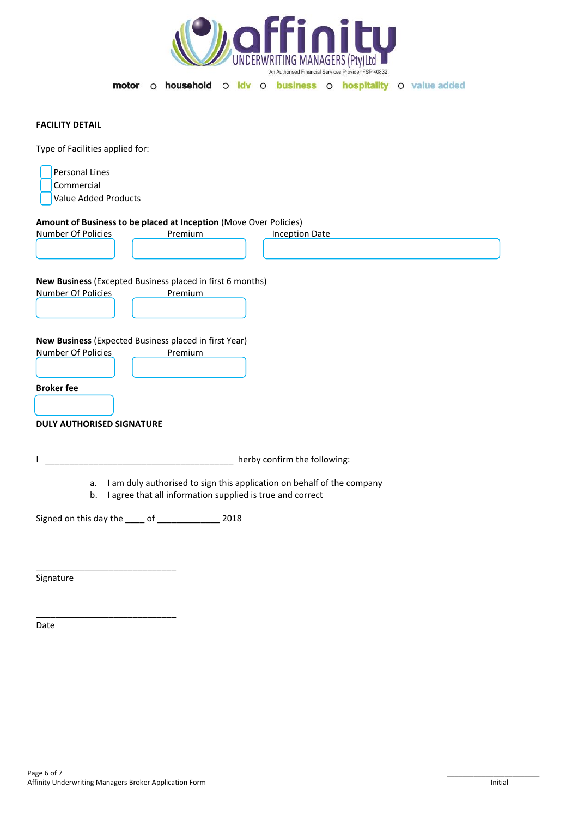

#### **FACILITY DETAIL**

Type of Facilities applied for:

| Personal Lines       |  |
|----------------------|--|
| Commercial           |  |
| Value Added Products |  |

#### **Amount of Business to be placed at Inception** (Move Over Policies)

| Number Of Policies                                        | Premium                                                                                                                                   | <b>Inception Date</b> |  |  |  |  |  |
|-----------------------------------------------------------|-------------------------------------------------------------------------------------------------------------------------------------------|-----------------------|--|--|--|--|--|
|                                                           |                                                                                                                                           |                       |  |  |  |  |  |
|                                                           |                                                                                                                                           |                       |  |  |  |  |  |
|                                                           |                                                                                                                                           |                       |  |  |  |  |  |
| New Business (Excepted Business placed in first 6 months) |                                                                                                                                           |                       |  |  |  |  |  |
| Number Of Policies                                        | Premium                                                                                                                                   |                       |  |  |  |  |  |
|                                                           |                                                                                                                                           |                       |  |  |  |  |  |
|                                                           |                                                                                                                                           |                       |  |  |  |  |  |
|                                                           | New Business (Expected Business placed in first Year)                                                                                     |                       |  |  |  |  |  |
| <b>Number Of Policies</b>                                 | Premium                                                                                                                                   |                       |  |  |  |  |  |
|                                                           |                                                                                                                                           |                       |  |  |  |  |  |
|                                                           |                                                                                                                                           |                       |  |  |  |  |  |
| <b>Broker fee</b>                                         |                                                                                                                                           |                       |  |  |  |  |  |
|                                                           |                                                                                                                                           |                       |  |  |  |  |  |
|                                                           |                                                                                                                                           |                       |  |  |  |  |  |
| <b>DULY AUTHORISED SIGNATURE</b>                          |                                                                                                                                           |                       |  |  |  |  |  |
|                                                           |                                                                                                                                           |                       |  |  |  |  |  |
|                                                           |                                                                                                                                           |                       |  |  |  |  |  |
|                                                           | herby confirm the following:                                                                                                              |                       |  |  |  |  |  |
|                                                           |                                                                                                                                           |                       |  |  |  |  |  |
| b.                                                        | I am duly authorised to sign this application on behalf of the company<br>a.<br>I agree that all information supplied is true and correct |                       |  |  |  |  |  |
|                                                           |                                                                                                                                           |                       |  |  |  |  |  |
|                                                           | Signed on this day the _____ of _________________ 2018                                                                                    |                       |  |  |  |  |  |
|                                                           |                                                                                                                                           |                       |  |  |  |  |  |
|                                                           |                                                                                                                                           |                       |  |  |  |  |  |
|                                                           |                                                                                                                                           |                       |  |  |  |  |  |
|                                                           |                                                                                                                                           |                       |  |  |  |  |  |

Signature

Date

\_\_\_\_\_\_\_\_\_\_\_\_\_\_\_\_\_\_\_\_\_\_\_\_\_\_\_\_\_